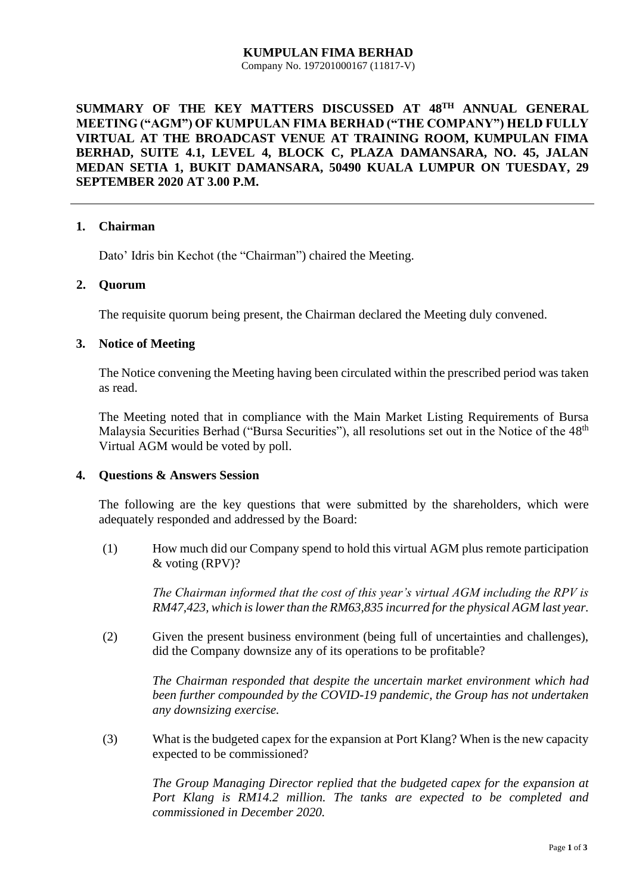#### **KUMPULAN FIMA BERHAD** Company No. 197201000167 (11817-V)

# **SUMMARY OF THE KEY MATTERS DISCUSSED AT 48TH ANNUAL GENERAL MEETING ("AGM") OF KUMPULAN FIMA BERHAD ("THE COMPANY") HELD FULLY VIRTUAL AT THE BROADCAST VENUE AT TRAINING ROOM, KUMPULAN FIMA BERHAD, SUITE 4.1, LEVEL 4, BLOCK C, PLAZA DAMANSARA, NO. 45, JALAN MEDAN SETIA 1, BUKIT DAMANSARA, 50490 KUALA LUMPUR ON TUESDAY, 29 SEPTEMBER 2020 AT 3.00 P.M.**

### **1. Chairman**

Dato' Idris bin Kechot (the "Chairman") chaired the Meeting.

### **2. Quorum**

The requisite quorum being present, the Chairman declared the Meeting duly convened.

### **3. Notice of Meeting**

The Notice convening the Meeting having been circulated within the prescribed period was taken as read.

The Meeting noted that in compliance with the Main Market Listing Requirements of Bursa Malaysia Securities Berhad ("Bursa Securities"), all resolutions set out in the Notice of the 48<sup>th</sup> Virtual AGM would be voted by poll.

#### **4. Questions & Answers Session**

The following are the key questions that were submitted by the shareholders, which were adequately responded and addressed by the Board:

(1) How much did our Company spend to hold this virtual AGM plus remote participation & voting (RPV)?

> *The Chairman informed that the cost of this year's virtual AGM including the RPV is RM47,423, which is lower than the RM63,835 incurred for the physical AGM last year.*

(2) Given the present business environment (being full of uncertainties and challenges), did the Company downsize any of its operations to be profitable?

*The Chairman responded that despite the uncertain market environment which had been further compounded by the COVID-19 pandemic, the Group has not undertaken any downsizing exercise.*

(3) What is the budgeted capex for the expansion at Port Klang? When is the new capacity expected to be commissioned?

*The Group Managing Director replied that the budgeted capex for the expansion at Port Klang is RM14.2 million. The tanks are expected to be completed and commissioned in December 2020.*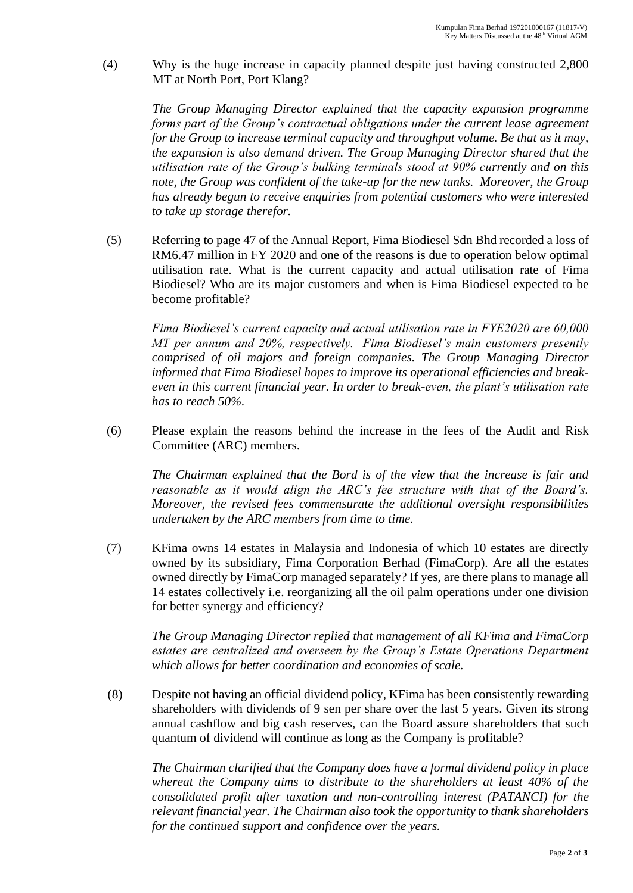(4) Why is the huge increase in capacity planned despite just having constructed 2,800 MT at North Port, Port Klang?

*The Group Managing Director explained that the capacity expansion programme forms part of the Group's contractual obligations under the current lease agreement for the Group to increase terminal capacity and throughput volume. Be that as it may, the expansion is also demand driven. The Group Managing Director shared that the utilisation rate of the Group's bulking terminals stood at 90% currently and on this note, the Group was confident of the take-up for the new tanks. Moreover, the Group has already begun to receive enquiries from potential customers who were interested to take up storage therefor.*

(5) Referring to page 47 of the Annual Report, Fima Biodiesel Sdn Bhd recorded a loss of RM6.47 million in FY 2020 and one of the reasons is due to operation below optimal utilisation rate. What is the current capacity and actual utilisation rate of Fima Biodiesel? Who are its major customers and when is Fima Biodiesel expected to be become profitable?

*Fima Biodiesel's current capacity and actual utilisation rate in FYE2020 are 60,000 MT per annum and 20%, respectively. Fima Biodiesel's main customers presently comprised of oil majors and foreign companies. The Group Managing Director informed that Fima Biodiesel hopes to improve its operational efficiencies and breakeven in this current financial year. In order to break-even, the plant's utilisation rate has to reach 50%.*

(6) Please explain the reasons behind the increase in the fees of the Audit and Risk Committee (ARC) members.

*The Chairman explained that the Bord is of the view that the increase is fair and reasonable as it would align the ARC's fee structure with that of the Board's. Moreover, the revised fees commensurate the additional oversight responsibilities undertaken by the ARC members from time to time.*

(7) KFima owns 14 estates in Malaysia and Indonesia of which 10 estates are directly owned by its subsidiary, Fima Corporation Berhad (FimaCorp). Are all the estates owned directly by FimaCorp managed separately? If yes, are there plans to manage all 14 estates collectively i.e. reorganizing all the oil palm operations under one division for better synergy and efficiency?

*The Group Managing Director replied that management of all KFima and FimaCorp estates are centralized and overseen by the Group's Estate Operations Department which allows for better coordination and economies of scale.* 

(8) Despite not having an official dividend policy, KFima has been consistently rewarding shareholders with dividends of 9 sen per share over the last 5 years. Given its strong annual cashflow and big cash reserves, can the Board assure shareholders that such quantum of dividend will continue as long as the Company is profitable?

*The Chairman clarified that the Company does have a formal dividend policy in place whereat the Company aims to distribute to the shareholders at least 40% of the consolidated profit after taxation and non-controlling interest (PATANCI) for the relevant financial year. The Chairman also took the opportunity to thank shareholders for the continued support and confidence over the years.*